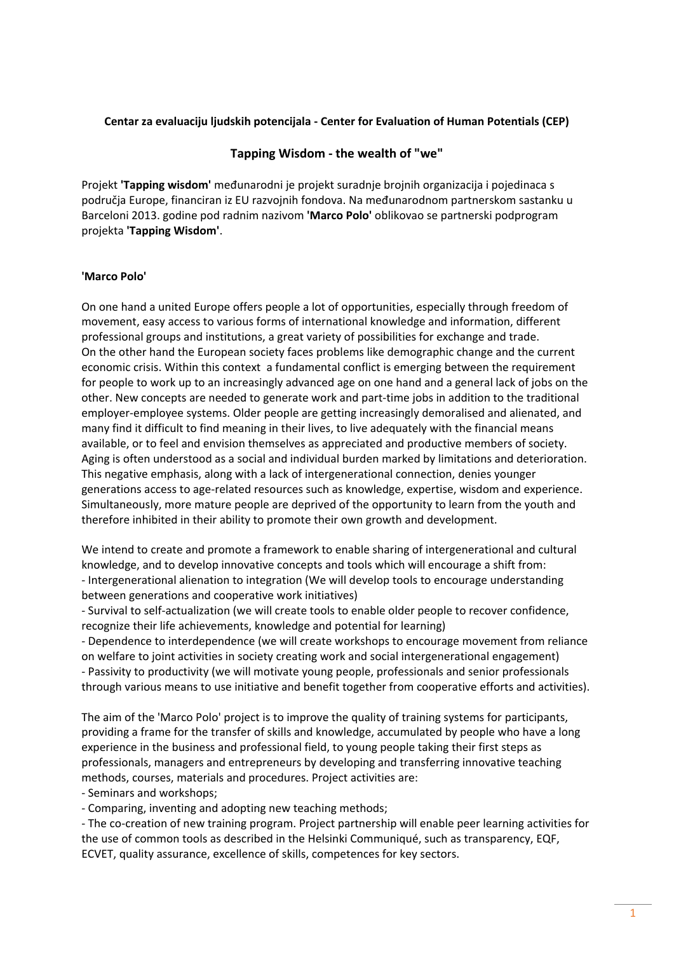## **Centar za evaluaciju ljudskih potencijala - Center for Evaluation of Human Potentials (CEP)**

# **Tapping Wisdom - the wealth of "we"**

Projekt **'Tapping wisdom'** međunarodni je projekt suradnje brojnih organizacija i pojedinaca s područja Europe, financiran iz EU razvojnih fondova. Na međunarodnom partnerskom sastanku u Barceloni 2013. godine pod radnim nazivom **'Marco Polo'** oblikovao se partnerski podprogram projekta **'Tapping Wisdom'**.

# **'Marco Polo'**

On one hand a united Europe offers people a lot of opportunities, especially through freedom of movement, easy access to various forms of international knowledge and information, different professional groups and institutions, a great variety of possibilities for exchange and trade. On the other hand the European society faces problems like demographic change and the current economic crisis. Within this context a fundamental conflict is emerging between the requirement for people to work up to an increasingly advanced age on one hand and a general lack of jobs on the other. New concepts are needed to generate work and part-time jobs in addition to the traditional employer-employee systems. Older people are getting increasingly demoralised and alienated, and many find it difficult to find meaning in their lives, to live adequately with the financial means available, or to feel and envision themselves as appreciated and productive members of society. Aging is often understood as a social and individual burden marked by limitations and deterioration. This negative emphasis, along with a lack of intergenerational connection, denies younger generations access to age-related resources such as knowledge, expertise, wisdom and experience. Simultaneously, more mature people are deprived of the opportunity to learn from the youth and therefore inhibited in their ability to promote their own growth and development.

We intend to create and promote a framework to enable sharing of intergenerational and cultural knowledge, and to develop innovative concepts and tools which will encourage a shift from: - Intergenerational alienation to integration (We will develop tools to encourage understanding between generations and cooperative work initiatives)

- Survival to self-actualization (we will create tools to enable older people to recover confidence, recognize their life achievements, knowledge and potential for learning)

- Dependence to interdependence (we will create workshops to encourage movement from reliance on welfare to joint activities in society creating work and social intergenerational engagement) - Passivity to productivity (we will motivate young people, professionals and senior professionals through various means to use initiative and benefit together from cooperative efforts and activities).

The aim of the 'Marco Polo' project is to improve the quality of training systems for participants, providing a frame for the transfer of skills and knowledge, accumulated by people who have a long experience in the business and professional field, to young people taking their first steps as professionals, managers and entrepreneurs by developing and transferring innovative teaching methods, courses, materials and procedures. Project activities are:

- Seminars and workshops;

- Comparing, inventing and adopting new teaching methods;

- The co-creation of new training program. Project partnership will enable peer learning activities for the use of common tools as described in the Helsinki Communiqué, such as transparency, EQF, ECVET, quality assurance, excellence of skills, competences for key sectors.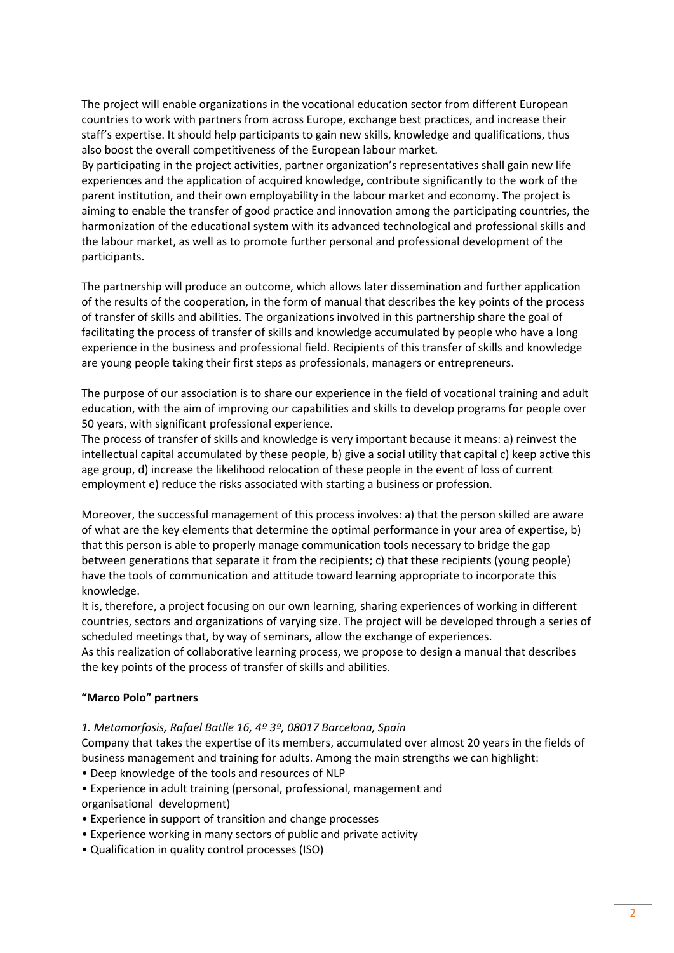The project will enable organizations in the vocational education sector from different European countries to work with partners from across Europe, exchange best practices, and increase their staff's expertise. It should help participants to gain new skills, knowledge and qualifications, thus also boost the overall competitiveness of the European labour market.

By participating in the project activities, partner organization's representatives shall gain new life experiences and the application of acquired knowledge, contribute significantly to the work of the parent institution, and their own employability in the labour market and economy. The project is aiming to enable the transfer of good practice and innovation among the participating countries, the harmonization of the educational system with its advanced technological and professional skills and the labour market, as well as to promote further personal and professional development of the participants.

The partnership will produce an outcome, which allows later dissemination and further application of the results of the cooperation, in the form of manual that describes the key points of the process of transfer of skills and abilities. The organizations involved in this partnership share the goal of facilitating the process of transfer of skills and knowledge accumulated by people who have a long experience in the business and professional field. Recipients of this transfer of skills and knowledge are young people taking their first steps as professionals, managers or entrepreneurs.

The purpose of our association is to share our experience in the field of vocational training and adult education, with the aim of improving our capabilities and skills to develop programs for people over 50 years, with significant professional experience.

The process of transfer of skills and knowledge is very important because it means: a) reinvest the intellectual capital accumulated by these people, b) give a social utility that capital c) keep active this age group, d) increase the likelihood relocation of these people in the event of loss of current employment e) reduce the risks associated with starting a business or profession.

Moreover, the successful management of this process involves: a) that the person skilled are aware of what are the key elements that determine the optimal performance in your area of expertise, b) that this person is able to properly manage communication tools necessary to bridge the gap between generations that separate it from the recipients; c) that these recipients (young people) have the tools of communication and attitude toward learning appropriate to incorporate this knowledge.

It is, therefore, a project focusing on our own learning, sharing experiences of working in different countries, sectors and organizations of varying size. The project will be developed through a series of scheduled meetings that, by way of seminars, allow the exchange of experiences.

As this realization of collaborative learning process, we propose to design a manual that describes the key points of the process of transfer of skills and abilities.

## **"Marco Polo" partners**

*1. Metamorfosis, Rafael Batlle 16, 4º 3ª, 08017 Barcelona, Spain*

Company that takes the expertise of its members, accumulated over almost 20 years in the fields of business management and training for adults. Among the main strengths we can highlight:

- Deep knowledge of the tools and resources of NLP
- Experience in adult training (personal, professional, management and organisational development)
- Experience in support of transition and change processes
- Experience working in many sectors of public and private activity
- Qualification in quality control processes (ISO)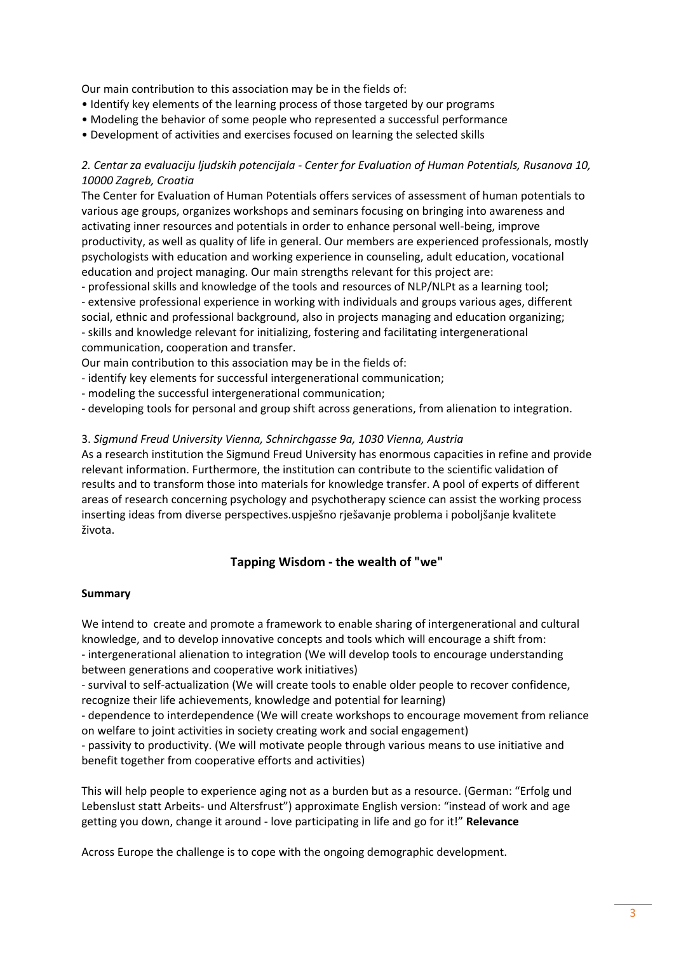Our main contribution to this association may be in the fields of:

- Identify key elements of the learning process of those targeted by our programs
- Modeling the behavior of some people who represented a successful performance
- Development of activities and exercises focused on learning the selected skills

# *2. Centar za evaluaciju ljudskih potencijala - Center for Evaluation of Human Potentials, Rusanova 10, 10000 Zagreb, Croatia*

The Center for Evaluation of Human Potentials offers services of assessment of human potentials to various age groups, organizes workshops and seminars focusing on bringing into awareness and activating inner resources and potentials in order to enhance personal well-being, improve productivity, as well as quality of life in general. Our members are experienced professionals, mostly psychologists with education and working experience in counseling, adult education, vocational education and project managing. Our main strengths relevant for this project are:

- professional skills and knowledge of the tools and resources of NLP/NLPt as a learning tool; - extensive professional experience in working with individuals and groups various ages, different social, ethnic and professional background, also in projects managing and education organizing; - skills and knowledge relevant for initializing, fostering and facilitating intergenerational communication, cooperation and transfer.

Our main contribution to this association may be in the fields of:

- identify key elements for successful intergenerational communication;

- modeling the successful intergenerational communication;

- developing tools for personal and group shift across generations, from alienation to integration.

# 3. *Sigmund Freud University Vienna, Schnirchgasse 9a, 1030 Vienna, Austria*

As a research institution the Sigmund Freud University has enormous capacities in refine and provide relevant information. Furthermore, the institution can contribute to the scientific validation of results and to transform those into materials for knowledge transfer. A pool of experts of different areas of research concerning psychology and psychotherapy science can assist the working process inserting ideas from diverse perspectives.uspješno rješavanje problema i poboljšanje kvalitete života.

# **Tapping Wisdom - the wealth of "we"**

## **Summary**

We intend to create and promote a framework to enable sharing of intergenerational and cultural knowledge, and to develop innovative concepts and tools which will encourage a shift from: - intergenerational alienation to integration (We will develop tools to encourage understanding between generations and cooperative work initiatives)

- survival to self-actualization (We will create tools to enable older people to recover confidence, recognize their life achievements, knowledge and potential for learning)

- dependence to interdependence (We will create workshops to encourage movement from reliance on welfare to joint activities in society creating work and social engagement)

- passivity to productivity. (We will motivate people through various means to use initiative and benefit together from cooperative efforts and activities)

This will help people to experience aging not as a burden but as a resource. (German: "Erfolg und Lebenslust statt Arbeits- und Altersfrust") approximate English version: "instead of work and age getting you down, change it around - love participating in life and go for it!" **Relevance**

Across Europe the challenge is to cope with the ongoing demographic development.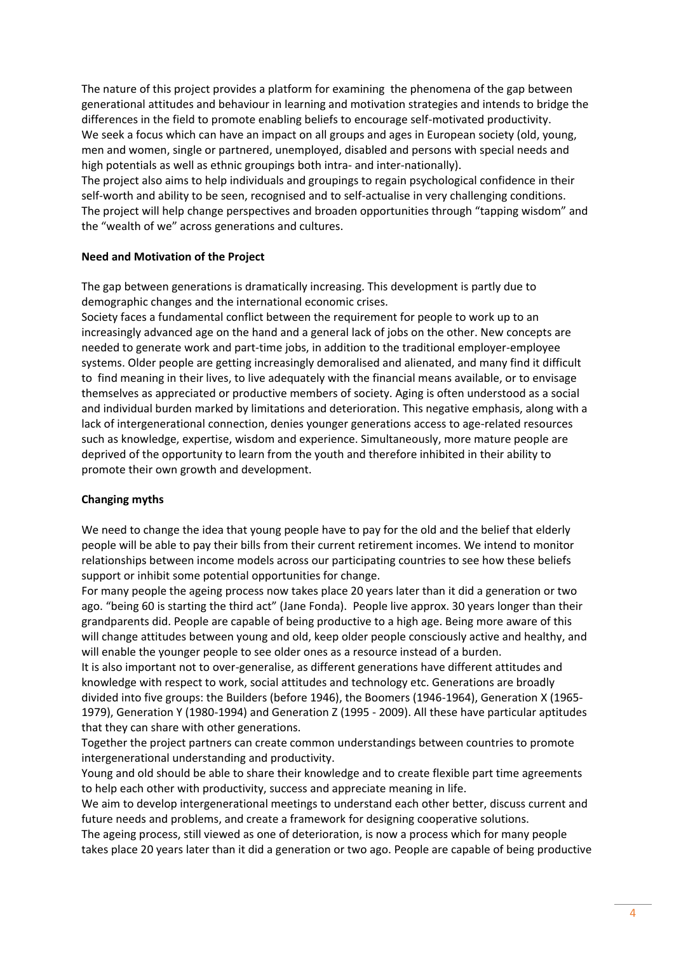The nature of this project provides a platform for examining the phenomena of the gap between generational attitudes and behaviour in learning and motivation strategies and intends to bridge the differences in the field to promote enabling beliefs to encourage self-motivated productivity. We seek a focus which can have an impact on all groups and ages in European society (old, young, men and women, single or partnered, unemployed, disabled and persons with special needs and high potentials as well as ethnic groupings both intra- and inter-nationally).

The project also aims to help individuals and groupings to regain psychological confidence in their self-worth and ability to be seen, recognised and to self-actualise in very challenging conditions. The project will help change perspectives and broaden opportunities through "tapping wisdom" and the "wealth of we" across generations and cultures.

## **Need and Motivation of the Project**

The gap between generations is dramatically increasing. This development is partly due to demographic changes and the international economic crises.

Society faces a fundamental conflict between the requirement for people to work up to an increasingly advanced age on the hand and a general lack of jobs on the other. New concepts are needed to generate work and part-time jobs, in addition to the traditional employer-employee systems. Older people are getting increasingly demoralised and alienated, and many find it difficult to find meaning in their lives, to live adequately with the financial means available, or to envisage themselves as appreciated or productive members of society. Aging is often understood as a social and individual burden marked by limitations and deterioration. This negative emphasis, along with a lack of intergenerational connection, denies younger generations access to age-related resources such as knowledge, expertise, wisdom and experience. Simultaneously, more mature people are deprived of the opportunity to learn from the youth and therefore inhibited in their ability to promote their own growth and development.

#### **Changing myths**

We need to change the idea that young people have to pay for the old and the belief that elderly people will be able to pay their bills from their current retirement incomes. We intend to monitor relationships between income models across our participating countries to see how these beliefs support or inhibit some potential opportunities for change.

For many people the ageing process now takes place 20 years later than it did a generation or two ago. "being 60 is starting the third act" (Jane Fonda). People live approx. 30 years longer than their grandparents did. People are capable of being productive to a high age. Being more aware of this will change attitudes between young and old, keep older people consciously active and healthy, and will enable the younger people to see older ones as a resource instead of a burden.

It is also important not to over-generalise, as different generations have different attitudes and knowledge with respect to work, social attitudes and technology etc. Generations are broadly divided into five groups: the Builders (before 1946), the Boomers (1946-1964), Generation X (1965- 1979), Generation Y (1980-1994) and Generation Z (1995 - 2009). All these have particular aptitudes that they can share with other generations.

Together the project partners can create common understandings between countries to promote intergenerational understanding and productivity.

Young and old should be able to share their knowledge and to create flexible part time agreements to help each other with productivity, success and appreciate meaning in life.

We aim to develop intergenerational meetings to understand each other better, discuss current and future needs and problems, and create a framework for designing cooperative solutions.

The ageing process, still viewed as one of deterioration, is now a process which for many people takes place 20 years later than it did a generation or two ago. People are capable of being productive